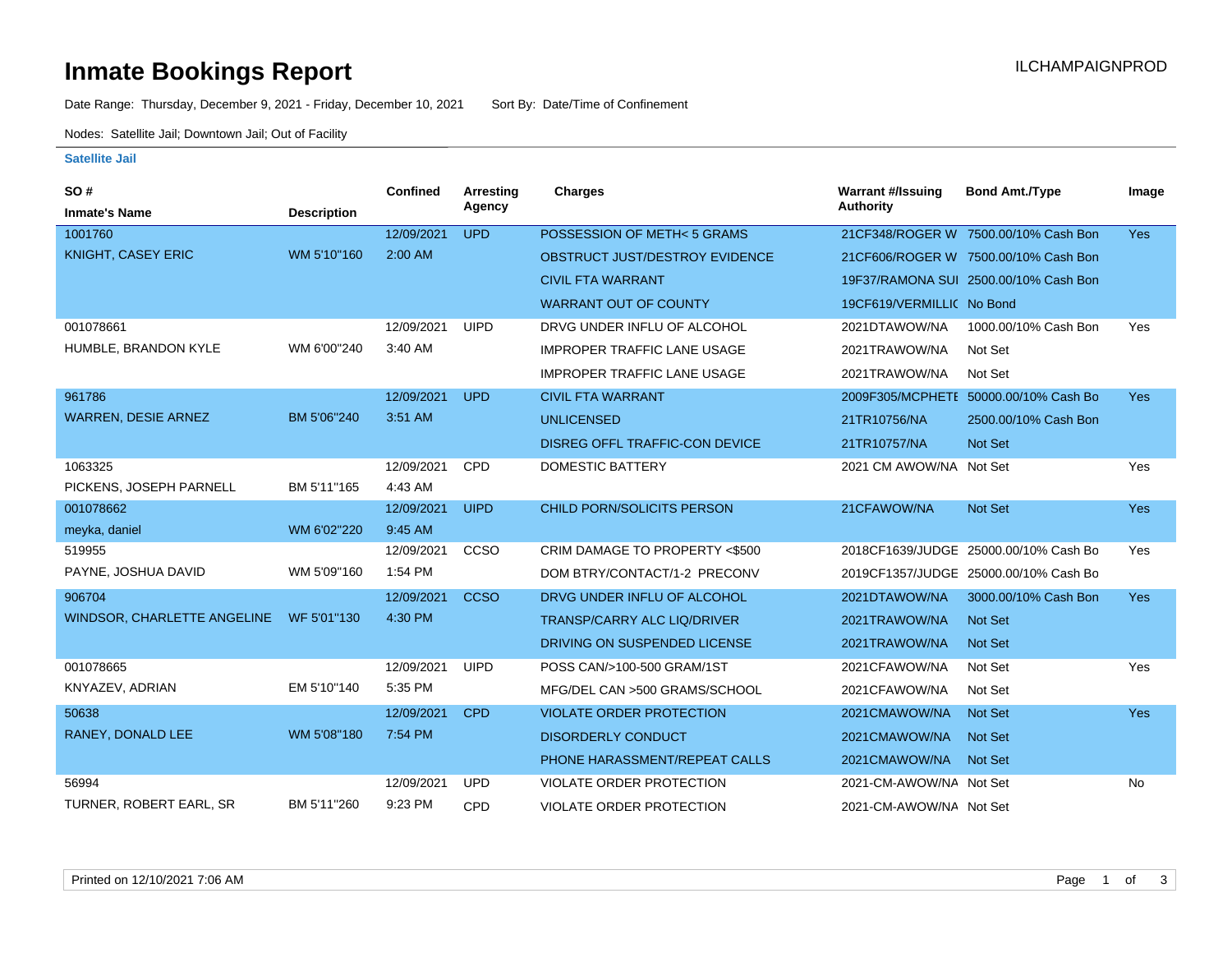# **Inmate Bookings Report Installation ILCHAMPAIGNPROD**

Date Range: Thursday, December 9, 2021 - Friday, December 10, 2021 Sort By: Date/Time of Confinement

Nodes: Satellite Jail; Downtown Jail; Out of Facility

#### **Satellite Jail**

| SO#                         |                    | <b>Confined</b> | <b>Arresting</b> | <b>Charges</b>                        | <b>Warrant #/Issuing</b>  | <b>Bond Amt./Type</b>                 | Image      |
|-----------------------------|--------------------|-----------------|------------------|---------------------------------------|---------------------------|---------------------------------------|------------|
| <b>Inmate's Name</b>        | <b>Description</b> |                 | Agency           |                                       | <b>Authority</b>          |                                       |            |
| 1001760                     |                    | 12/09/2021      | <b>UPD</b>       | POSSESSION OF METH<5 GRAMS            |                           | 21CF348/ROGER W 7500.00/10% Cash Bon  | Yes        |
| KNIGHT, CASEY ERIC          | WM 5'10"160        | 2:00 AM         |                  | OBSTRUCT JUST/DESTROY EVIDENCE        |                           | 21CF606/ROGER W 7500.00/10% Cash Bon  |            |
|                             |                    |                 |                  | <b>CIVIL FTA WARRANT</b>              |                           | 19F37/RAMONA SUI 2500.00/10% Cash Bon |            |
|                             |                    |                 |                  | <b>WARRANT OUT OF COUNTY</b>          | 19CF619/VERMILLIC No Bond |                                       |            |
| 001078661                   |                    | 12/09/2021      | <b>UIPD</b>      | DRVG UNDER INFLU OF ALCOHOL           | 2021DTAWOW/NA             | 1000.00/10% Cash Bon                  | Yes        |
| HUMBLE, BRANDON KYLE        | WM 6'00"240        | 3:40 AM         |                  | <b>IMPROPER TRAFFIC LANE USAGE</b>    | 2021TRAWOW/NA             | Not Set                               |            |
|                             |                    |                 |                  | <b>IMPROPER TRAFFIC LANE USAGE</b>    | 2021TRAWOW/NA             | Not Set                               |            |
| 961786                      |                    | 12/09/2021      | <b>UPD</b>       | <b>CIVIL FTA WARRANT</b>              |                           | 2009F305/MCPHETE 50000.00/10% Cash Bo | <b>Yes</b> |
| <b>WARREN, DESIE ARNEZ</b>  | BM 5'06"240        | 3:51 AM         |                  | <b>UNLICENSED</b>                     | 21TR10756/NA              | 2500.00/10% Cash Bon                  |            |
|                             |                    |                 |                  | <b>DISREG OFFL TRAFFIC-CON DEVICE</b> | 21TR10757/NA              | Not Set                               |            |
| 1063325                     |                    | 12/09/2021      | CPD              | <b>DOMESTIC BATTERY</b>               | 2021 CM AWOW/NA Not Set   |                                       | Yes        |
| PICKENS, JOSEPH PARNELL     | BM 5'11"165        | 4:43 AM         |                  |                                       |                           |                                       |            |
| 001078662                   |                    | 12/09/2021      | <b>UIPD</b>      | CHILD PORN/SOLICITS PERSON            | 21CFAWOW/NA               | Not Set                               | <b>Yes</b> |
| meyka, daniel               | WM 6'02"220        | 9:45 AM         |                  |                                       |                           |                                       |            |
| 519955                      |                    | 12/09/2021      | CCSO             | CRIM DAMAGE TO PROPERTY <\$500        |                           | 2018CF1639/JUDGE 25000.00/10% Cash Bo | Yes        |
| PAYNE, JOSHUA DAVID         | WM 5'09"160        | 1:54 PM         |                  | DOM BTRY/CONTACT/1-2 PRECONV          |                           | 2019CF1357/JUDGE 25000.00/10% Cash Bo |            |
| 906704                      |                    | 12/09/2021      | <b>CCSO</b>      | DRVG UNDER INFLU OF ALCOHOL           | 2021DTAWOW/NA             | 3000.00/10% Cash Bon                  | <b>Yes</b> |
| WINDSOR, CHARLETTE ANGELINE | WF 5'01"130        | 4:30 PM         |                  | <b>TRANSP/CARRY ALC LIQ/DRIVER</b>    | 2021TRAWOW/NA             | <b>Not Set</b>                        |            |
|                             |                    |                 |                  | DRIVING ON SUSPENDED LICENSE          | 2021TRAWOW/NA             | <b>Not Set</b>                        |            |
| 001078665                   |                    | 12/09/2021      | <b>UIPD</b>      | POSS CAN/>100-500 GRAM/1ST            | 2021CFAWOW/NA             | Not Set                               | Yes        |
| KNYAZEV, ADRIAN             | EM 5'10"140        | 5:35 PM         |                  | MFG/DEL CAN >500 GRAMS/SCHOOL         | 2021CFAWOW/NA             | Not Set                               |            |
| 50638                       |                    | 12/09/2021      | <b>CPD</b>       | <b>VIOLATE ORDER PROTECTION</b>       | 2021CMAWOW/NA             | Not Set                               | <b>Yes</b> |
| RANEY, DONALD LEE           | WM 5'08"180        | 7:54 PM         |                  | <b>DISORDERLY CONDUCT</b>             | 2021CMAWOW/NA             | Not Set                               |            |
|                             |                    |                 |                  | PHONE HARASSMENT/REPEAT CALLS         | 2021CMAWOW/NA             | <b>Not Set</b>                        |            |
| 56994                       |                    | 12/09/2021      | <b>UPD</b>       | <b>VIOLATE ORDER PROTECTION</b>       | 2021-CM-AWOW/NA Not Set   |                                       | No         |
| TURNER, ROBERT EARL, SR     | BM 5'11"260        | 9:23 PM         | CPD              | <b>VIOLATE ORDER PROTECTION</b>       | 2021-CM-AWOW/NA Not Set   |                                       |            |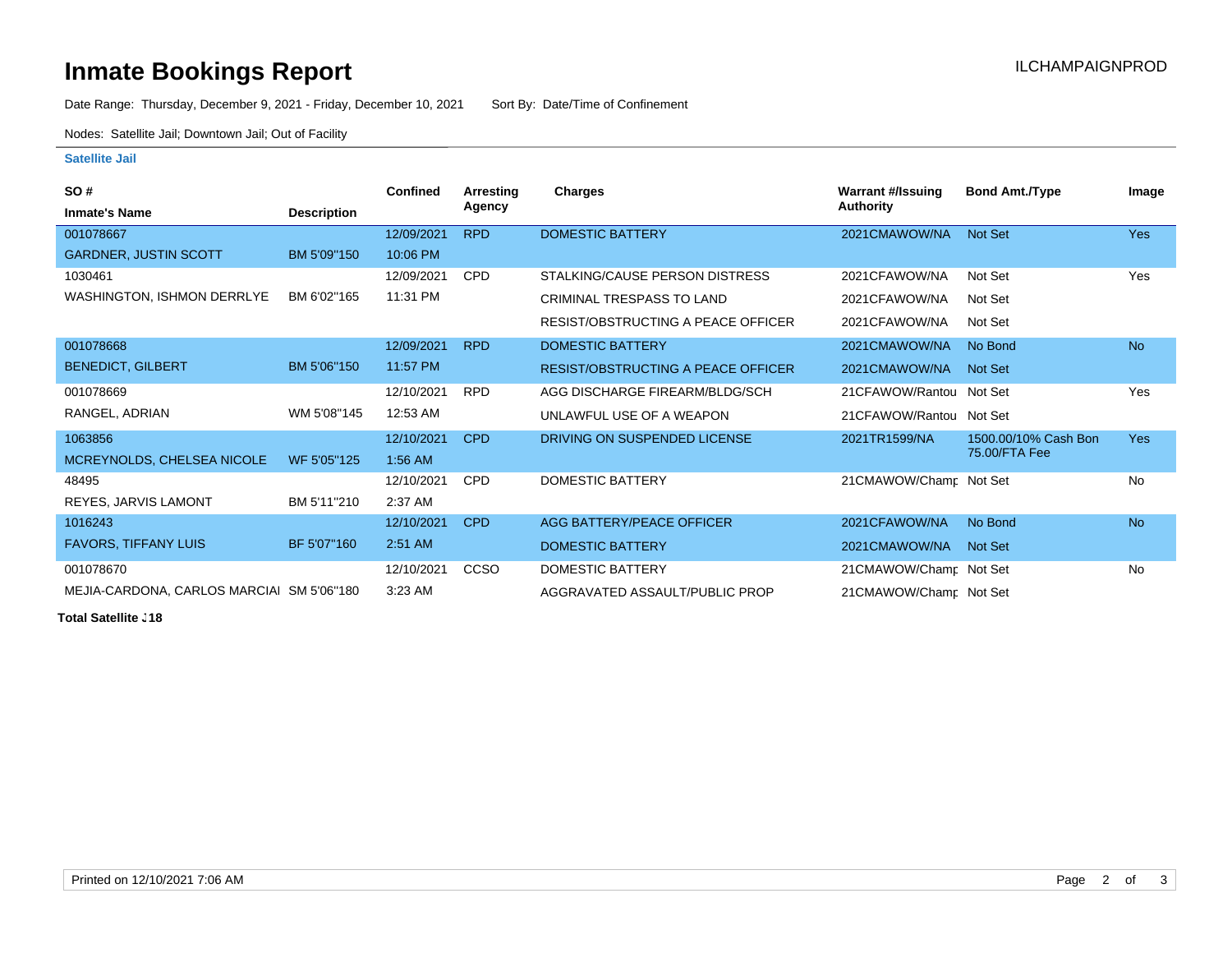# **Inmate Bookings Report Installation ILCHAMPAIGNPROD**

Date Range: Thursday, December 9, 2021 - Friday, December 10, 2021 Sort By: Date/Time of Confinement

Nodes: Satellite Jail; Downtown Jail; Out of Facility

### **Satellite Jail**

| <b>SO#</b>                                |                    | <b>Confined</b> | Arrestina   | Charges                                   | Warrant #/Issuing        | <b>Bond Amt./Type</b> | Image      |
|-------------------------------------------|--------------------|-----------------|-------------|-------------------------------------------|--------------------------|-----------------------|------------|
| <b>Inmate's Name</b>                      | <b>Description</b> |                 | Agency      |                                           | <b>Authority</b>         |                       |            |
| 001078667                                 |                    | 12/09/2021      | <b>RPD</b>  | <b>DOMESTIC BATTERY</b>                   | 2021CMAWOW/NA            | Not Set               | <b>Yes</b> |
| <b>GARDNER, JUSTIN SCOTT</b>              | BM 5'09"150        | 10:06 PM        |             |                                           |                          |                       |            |
| 1030461                                   |                    | 12/09/2021      | <b>CPD</b>  | STALKING/CAUSE PERSON DISTRESS            | 2021CFAWOW/NA            | Not Set               | Yes        |
| WASHINGTON, ISHMON DERRLYE                | BM 6'02"165        | 11:31 PM        |             | CRIMINAL TRESPASS TO LAND                 | 2021CFAWOW/NA            | Not Set               |            |
|                                           |                    |                 |             | <b>RESIST/OBSTRUCTING A PEACE OFFICER</b> | 2021CFAWOW/NA            | Not Set               |            |
| 001078668                                 |                    | 12/09/2021      | <b>RPD</b>  | <b>DOMESTIC BATTERY</b>                   | 2021CMAWOW/NA            | No Bond               | <b>No</b>  |
| <b>BENEDICT, GILBERT</b>                  | BM 5'06"150        | 11:57 PM        |             | <b>RESIST/OBSTRUCTING A PEACE OFFICER</b> | 2021CMAWOW/NA            | Not Set               |            |
| 001078669                                 |                    | 12/10/2021      | <b>RPD</b>  | AGG DISCHARGE FIREARM/BLDG/SCH            | 21CFAWOW/Rantoul Not Set |                       | <b>Yes</b> |
| RANGEL, ADRIAN                            | WM 5'08"145        | 12:53 AM        |             | UNLAWFUL USE OF A WEAPON                  | 21CFAWOW/Rantoul Not Set |                       |            |
| 1063856                                   |                    | 12/10/2021      | CPD         | DRIVING ON SUSPENDED LICENSE              | 2021TR1599/NA            | 1500.00/10% Cash Bon  | <b>Yes</b> |
| MCREYNOLDS, CHELSEA NICOLE                | WF 5'05"125        | $1:56$ AM       |             |                                           |                          | 75.00/FTA Fee         |            |
| 48495                                     |                    | 12/10/2021      | <b>CPD</b>  | DOMESTIC BATTERY                          | 21CMAWOW/Champ Not Set   |                       | <b>No</b>  |
| REYES, JARVIS LAMONT                      | BM 5'11"210        | 2:37 AM         |             |                                           |                          |                       |            |
| 1016243                                   |                    | 12/10/2021      | <b>CPD</b>  | AGG BATTERY/PEACE OFFICER                 | 2021CFAWOW/NA            | No Bond               | <b>No</b>  |
| <b>FAVORS, TIFFANY LUIS</b>               | BF 5'07"160        | 2:51 AM         |             | DOMESTIC BATTERY                          | 2021CMAWOW/NA            | Not Set               |            |
| 001078670                                 |                    | 12/10/2021      | <b>CCSO</b> | DOMESTIC BATTERY                          | 21CMAWOW/Champ Not Set   |                       | No         |
| MEJIA-CARDONA, CARLOS MARCIAI SM 5'06"180 |                    | 3:23 AM         |             | AGGRAVATED ASSAULT/PUBLIC PROP            | 21CMAWOW/Champ Not Set   |                       |            |

**Total Satellite . 18**